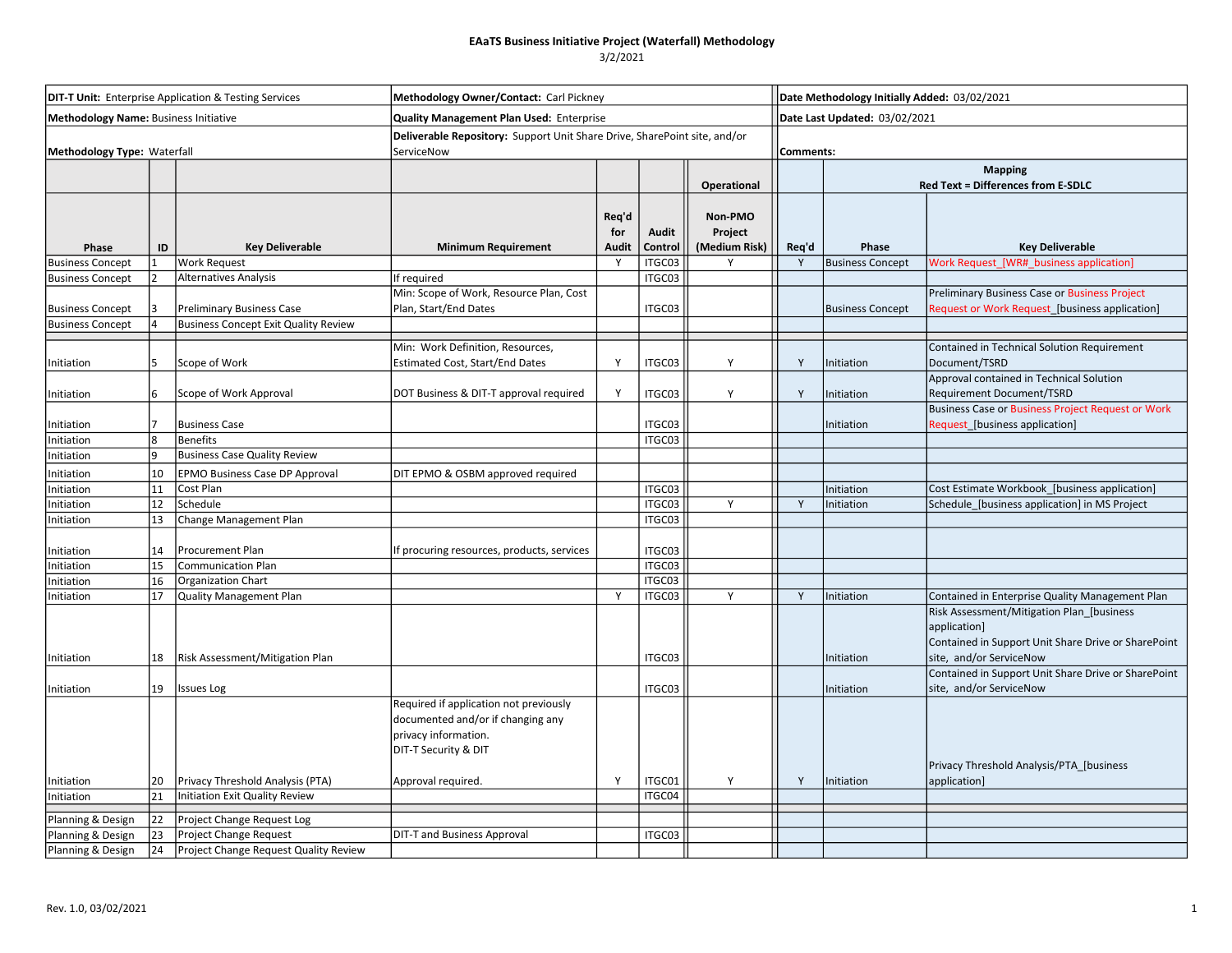## 3/2/2021

| <b>DIT-T Unit:</b> Enterprise Application & Testing Services<br><b>Methodology Name: Business Initiative</b><br>Methodology Type: Waterfall |    |                                             | Methodology Owner/Contact: Carl Pickney                                                                                     |                       |                  |                                     |                                            | Date Methodology Initially Added: 03/02/2021         |                                                                                                                                                                     |  |  |
|---------------------------------------------------------------------------------------------------------------------------------------------|----|---------------------------------------------|-----------------------------------------------------------------------------------------------------------------------------|-----------------------|------------------|-------------------------------------|--------------------------------------------|------------------------------------------------------|---------------------------------------------------------------------------------------------------------------------------------------------------------------------|--|--|
|                                                                                                                                             |    |                                             | <b>Quality Management Plan Used: Enterprise</b>                                                                             |                       |                  |                                     | Date Last Updated: 03/02/2021<br>Comments: |                                                      |                                                                                                                                                                     |  |  |
|                                                                                                                                             |    |                                             | Deliverable Repository: Support Unit Share Drive, SharePoint site, and/or<br>ServiceNow                                     |                       |                  |                                     |                                            |                                                      |                                                                                                                                                                     |  |  |
|                                                                                                                                             |    |                                             |                                                                                                                             |                       |                  | Operational                         |                                            | <b>Mapping</b><br>Red Text = Differences from E-SDLC |                                                                                                                                                                     |  |  |
| Phase                                                                                                                                       | ID | <b>Key Deliverable</b>                      | <b>Minimum Requirement</b>                                                                                                  | Reg'd<br>for<br>Audit | Audit<br>Control | Non-PMO<br>Project<br>(Medium Risk) | Req'd                                      | Phase                                                | <b>Key Deliverable</b>                                                                                                                                              |  |  |
| <b>Business Concept</b>                                                                                                                     |    | <b>Work Request</b>                         |                                                                                                                             | Y                     | ITGC03           |                                     | Y                                          | <b>Business Concept</b>                              | Work Request_[WR#_business application]                                                                                                                             |  |  |
| <b>Business Concept</b>                                                                                                                     | 12 | Alternatives Analysis                       | If required                                                                                                                 |                       | ITGC03           |                                     |                                            |                                                      |                                                                                                                                                                     |  |  |
| <b>Business Concept</b>                                                                                                                     |    | Preliminary Business Case                   | Min: Scope of Work, Resource Plan, Cost<br>Plan, Start/End Dates                                                            |                       | ITGC03           |                                     |                                            | <b>Business Concept</b>                              | Preliminary Business Case or Business Project<br>Request or Work Request_[business application]                                                                     |  |  |
| <b>Business Concept</b>                                                                                                                     |    | <b>Business Concept Exit Quality Review</b> |                                                                                                                             |                       |                  |                                     |                                            |                                                      |                                                                                                                                                                     |  |  |
| Initiation                                                                                                                                  |    | Scope of Work                               | Min: Work Definition, Resources,<br><b>Estimated Cost, Start/End Dates</b>                                                  | Y                     | ITGC03           | Y                                   | Y                                          | Initiation                                           | Contained in Technical Solution Requirement<br>Document/TSRD                                                                                                        |  |  |
| Initiation                                                                                                                                  | l6 | Scope of Work Approval                      | DOT Business & DIT-T approval required                                                                                      | Y                     | ITGC03           | Y                                   | Y                                          | Initiation                                           | Approval contained in Technical Solution<br>Requirement Document/TSRD                                                                                               |  |  |
| Initiation                                                                                                                                  |    | Business Case                               |                                                                                                                             |                       | ITGC03           |                                     |                                            | Initiation                                           | <b>Business Case or Business Project Request or Work</b><br>Request_[business application]                                                                          |  |  |
| Initiation                                                                                                                                  | 8  | Benefits                                    |                                                                                                                             |                       | ITGC03           |                                     |                                            |                                                      |                                                                                                                                                                     |  |  |
| Initiation                                                                                                                                  | و  | <b>Business Case Quality Review</b>         |                                                                                                                             |                       |                  |                                     |                                            |                                                      |                                                                                                                                                                     |  |  |
| Initiation                                                                                                                                  | 10 | <b>EPMO Business Case DP Approval</b>       | DIT EPMO & OSBM approved required                                                                                           |                       |                  |                                     |                                            |                                                      |                                                                                                                                                                     |  |  |
| Initiation                                                                                                                                  | 11 | Cost Plan                                   |                                                                                                                             |                       | ITGC03           |                                     |                                            | Initiation                                           | Cost Estimate Workbook [business application]                                                                                                                       |  |  |
| Initiation                                                                                                                                  | 12 | Schedule                                    |                                                                                                                             |                       | ITGC03           | Y                                   | Y                                          | Initiation                                           | Schedule_[business application] in MS Project                                                                                                                       |  |  |
| Initiation                                                                                                                                  | 13 | Change Management Plan                      |                                                                                                                             |                       | ITGC03           |                                     |                                            |                                                      |                                                                                                                                                                     |  |  |
| Initiation                                                                                                                                  | 14 | Procurement Plan                            | If procuring resources, products, services                                                                                  |                       | ITGC03           |                                     |                                            |                                                      |                                                                                                                                                                     |  |  |
| Initiation                                                                                                                                  | 15 | Communication Plan                          |                                                                                                                             |                       | ITGC03           |                                     |                                            |                                                      |                                                                                                                                                                     |  |  |
| Initiation                                                                                                                                  | 16 | Organization Chart                          |                                                                                                                             |                       | ITGC03           |                                     |                                            |                                                      |                                                                                                                                                                     |  |  |
| Initiation                                                                                                                                  | 17 | Quality Management Plan                     |                                                                                                                             | Y                     | ITGC03           | Y                                   | Y                                          | Initiation                                           | Contained in Enterprise Quality Management Plan<br>Risk Assessment/Mitigation Plan_[business<br>application]<br>Contained in Support Unit Share Drive or SharePoint |  |  |
| Initiation                                                                                                                                  | 18 | Risk Assessment/Mitigation Plan             |                                                                                                                             |                       | ITGC03           |                                     |                                            | Initiation                                           | site, and/or ServiceNow<br>Contained in Support Unit Share Drive or SharePoint                                                                                      |  |  |
| Initiation                                                                                                                                  | 19 | <b>Issues Log</b>                           |                                                                                                                             |                       | ITGC03           |                                     |                                            | Initiation                                           | site, and/or ServiceNow                                                                                                                                             |  |  |
|                                                                                                                                             |    |                                             | Required if application not previously<br>documented and/or if changing any<br>privacy information.<br>DIT-T Security & DIT |                       |                  |                                     |                                            |                                                      | Privacy Threshold Analysis/PTA_[business                                                                                                                            |  |  |
| Initiation                                                                                                                                  | 20 | Privacy Threshold Analysis (PTA)            | Approval required.                                                                                                          | Y                     | ITGC01           | Υ                                   | Y                                          | Initiation                                           | application]                                                                                                                                                        |  |  |
| Initiation                                                                                                                                  | 21 | Initiation Exit Quality Review              |                                                                                                                             |                       | ITGC04           |                                     |                                            |                                                      |                                                                                                                                                                     |  |  |
| Planning & Design                                                                                                                           | 22 | Project Change Request Log                  |                                                                                                                             |                       |                  |                                     |                                            |                                                      |                                                                                                                                                                     |  |  |
| Planning & Design                                                                                                                           | 23 | Project Change Request                      | <b>DIT-T and Business Approval</b>                                                                                          |                       | ITGC03           |                                     |                                            |                                                      |                                                                                                                                                                     |  |  |
| Planning & Design                                                                                                                           | 24 | Project Change Request Quality Review       |                                                                                                                             |                       |                  |                                     |                                            |                                                      |                                                                                                                                                                     |  |  |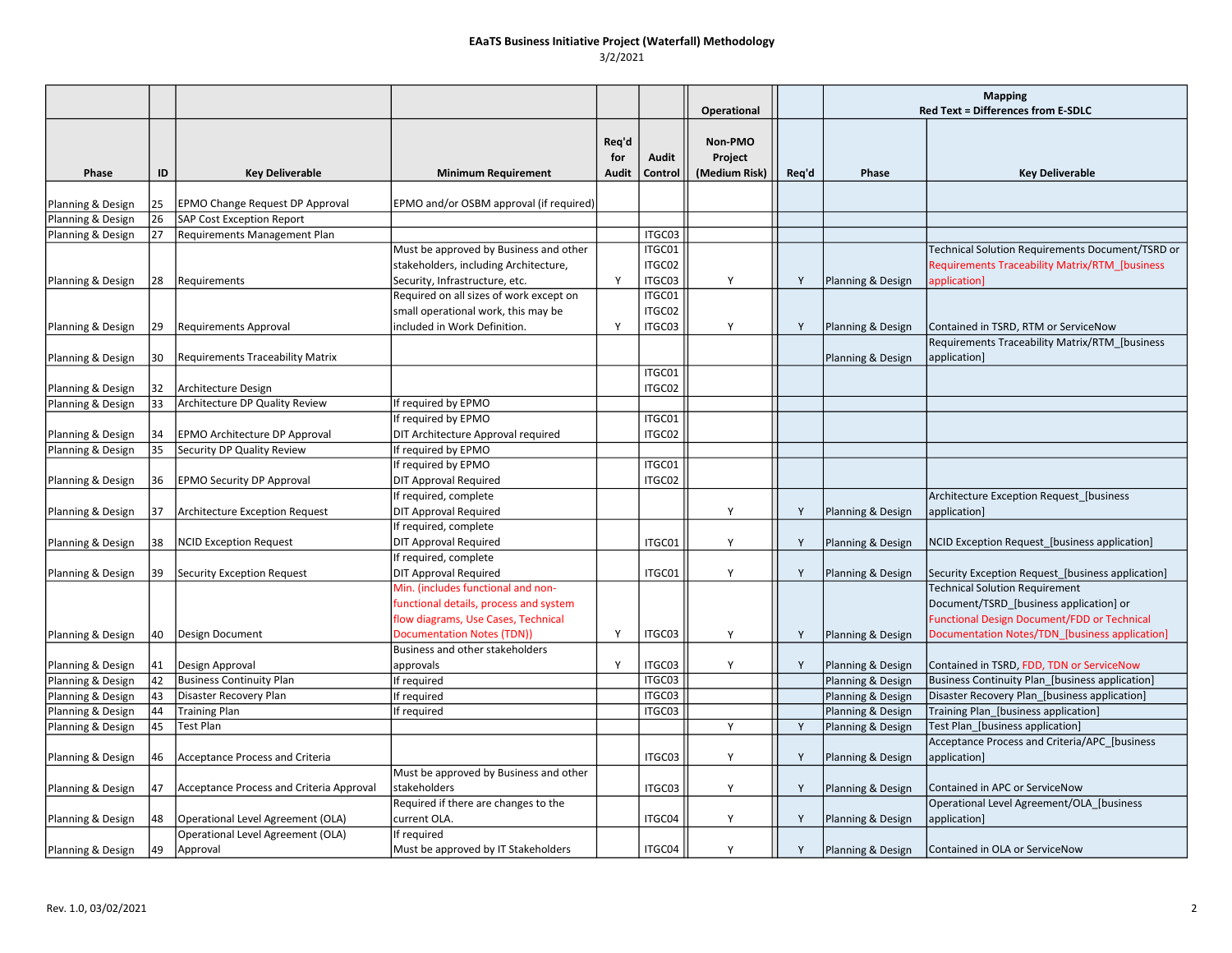|                   |          |                                                    |                                                                      |                       |                  | Operational                         |       | <b>Mapping</b><br>Red Text = Differences from E-SDLC |                                                                                              |
|-------------------|----------|----------------------------------------------------|----------------------------------------------------------------------|-----------------------|------------------|-------------------------------------|-------|------------------------------------------------------|----------------------------------------------------------------------------------------------|
| Phase             | ID       | <b>Key Deliverable</b>                             | <b>Minimum Requirement</b>                                           | Req'd<br>for<br>Audit | Audit<br>Control | Non-PMO<br>Project<br>(Medium Risk) | Req'd | Phase                                                | <b>Key Deliverable</b>                                                                       |
| Planning & Design | 25       | <b>EPMO Change Request DP Approval</b>             | EPMO and/or OSBM approval (if required)                              |                       |                  |                                     |       |                                                      |                                                                                              |
| Planning & Design | 26       | SAP Cost Exception Report                          |                                                                      |                       |                  |                                     |       |                                                      |                                                                                              |
| Planning & Design | 27       | Requirements Management Plan                       |                                                                      |                       | ITGC03           |                                     |       |                                                      |                                                                                              |
|                   |          |                                                    | Must be approved by Business and other                               |                       | ITGC01           |                                     |       |                                                      | Technical Solution Requirements Document/TSRD or                                             |
|                   |          |                                                    | stakeholders, including Architecture,                                |                       | ITGC02           |                                     |       |                                                      | Requirements Traceability Matrix/RTM [business                                               |
| Planning & Design | 28       | Requirements                                       | Security, Infrastructure, etc.                                       | Y                     | ITGC03           | Y                                   | Y     | Planning & Design                                    | application]                                                                                 |
|                   |          |                                                    | Required on all sizes of work except on                              |                       | ITGC01           |                                     |       |                                                      |                                                                                              |
|                   |          |                                                    | small operational work, this may be                                  |                       | ITGC02           |                                     |       |                                                      |                                                                                              |
| Planning & Design | 29       | Requirements Approval                              | included in Work Definition.                                         | Y                     | ITGC03           | Υ                                   | Y     | Planning & Design                                    | Contained in TSRD, RTM or ServiceNow                                                         |
|                   |          |                                                    |                                                                      |                       |                  |                                     |       |                                                      | Requirements Traceability Matrix/RTM_[business                                               |
| Planning & Design | 30       | <b>Requirements Traceability Matrix</b>            |                                                                      |                       |                  |                                     |       | Planning & Design                                    | application]                                                                                 |
|                   |          |                                                    |                                                                      |                       | ITGC01           |                                     |       |                                                      |                                                                                              |
| Planning & Design | 32       | Architecture Design                                |                                                                      |                       | ITGC02           |                                     |       |                                                      |                                                                                              |
| Planning & Design | 33       | Architecture DP Quality Review                     | If required by EPMO                                                  |                       |                  |                                     |       |                                                      |                                                                                              |
|                   |          |                                                    | If required by EPMO                                                  |                       | ITGC01           |                                     |       |                                                      |                                                                                              |
| Planning & Design | 34       | EPMO Architecture DP Approval                      | DIT Architecture Approval required                                   |                       | ITGC02           |                                     |       |                                                      |                                                                                              |
| Planning & Design | 35       | Security DP Quality Review                         | If required by EPMO                                                  |                       |                  |                                     |       |                                                      |                                                                                              |
|                   |          |                                                    | If required by EPMO                                                  |                       | ITGC01           |                                     |       |                                                      |                                                                                              |
|                   | 36       | <b>EPMO Security DP Approval</b>                   | <b>DIT Approval Required</b>                                         |                       | ITGC02           |                                     |       |                                                      |                                                                                              |
| Planning & Design |          |                                                    | If required, complete                                                |                       |                  |                                     |       |                                                      |                                                                                              |
|                   | 37       | Architecture Exception Request                     | <b>DIT Approval Required</b>                                         |                       |                  | Y                                   | Y     |                                                      | Architecture Exception Request_[business<br>application]                                     |
| Planning & Design |          |                                                    | If required, complete                                                |                       |                  |                                     |       | Planning & Design                                    |                                                                                              |
|                   | 38       |                                                    | <b>DIT Approval Required</b>                                         |                       | ITGC01           | Y                                   | Y     |                                                      |                                                                                              |
| Planning & Design |          | <b>NCID Exception Request</b>                      | If required, complete                                                |                       |                  |                                     |       | Planning & Design                                    | NCID Exception Request_[business application]                                                |
|                   | 39       | Security Exception Request                         | <b>DIT Approval Required</b>                                         |                       |                  | Y                                   | Y     |                                                      | Security Exception Request_[business application]                                            |
| Planning & Design |          |                                                    | Min. (includes functional and non-                                   |                       | ITGC01           |                                     |       | Planning & Design                                    | <b>Technical Solution Requirement</b>                                                        |
|                   |          |                                                    |                                                                      |                       |                  |                                     |       |                                                      |                                                                                              |
|                   |          |                                                    | functional details, process and system                               |                       |                  |                                     |       |                                                      | Document/TSRD [business application] or                                                      |
|                   |          |                                                    | flow diagrams, Use Cases, Technical                                  | Y                     | ITGC03           | Y                                   |       |                                                      | <b>Functional Design Document/FDD or Technical</b>                                           |
| Planning & Design | 40       | Design Document                                    | <b>Documentation Notes (TDN))</b><br>Business and other stakeholders |                       |                  |                                     | Y     | Planning & Design                                    | Documentation Notes/TDN_[business application]                                               |
|                   |          |                                                    |                                                                      | Y                     |                  | Y                                   | Y     |                                                      |                                                                                              |
| Planning & Design | 41<br>42 | Design Approval<br><b>Business Continuity Plan</b> | approvals                                                            |                       | ITGC03<br>ITGC03 |                                     |       | Planning & Design                                    | Contained in TSRD, FDD, TDN or ServiceNow<br>Business Continuity Plan [business application] |
| Planning & Design |          |                                                    | If required                                                          |                       | ITGC03           |                                     |       | Planning & Design                                    |                                                                                              |
| Planning & Design | 43<br>44 | Disaster Recovery Plan                             | If required                                                          |                       | ITGC03           |                                     |       | Planning & Design                                    | Disaster Recovery Plan_[business application]                                                |
| Planning & Design |          | <b>Training Plan</b>                               | If required                                                          |                       |                  | Y                                   |       | Planning & Design                                    | Training Plan_[business application]                                                         |
| Planning & Design | 45       | <b>Test Plan</b>                                   |                                                                      |                       |                  |                                     | Y     | Planning & Design                                    | Test Plan_[business application]                                                             |
| Planning & Design | 46       | <b>Acceptance Process and Criteria</b>             |                                                                      |                       | ITGC03           | Y                                   | Y     | Planning & Design                                    | Acceptance Process and Criteria/APC_[business<br>application]                                |
|                   |          |                                                    | Must be approved by Business and other                               |                       |                  |                                     |       |                                                      |                                                                                              |
| Planning & Design | 47       | Acceptance Process and Criteria Approval           | stakeholders                                                         |                       | ITGC03           | Y                                   | Y     | Planning & Design                                    | Contained in APC or ServiceNow                                                               |
|                   |          |                                                    | Required if there are changes to the                                 |                       |                  |                                     |       |                                                      | Operational Level Agreement/OLA [business                                                    |
| Planning & Design | 48       | Operational Level Agreement (OLA)                  | current OLA.                                                         |                       | ITGC04           | Y                                   | Y     | Planning & Design                                    | application]                                                                                 |
|                   |          | Operational Level Agreement (OLA)                  | If required                                                          |                       |                  |                                     |       |                                                      |                                                                                              |
| Planning & Design | 49       | Approval                                           | Must be approved by IT Stakeholders                                  |                       | ITGC04           | Y                                   | Y     | Planning & Design                                    | Contained in OLA or ServiceNow                                                               |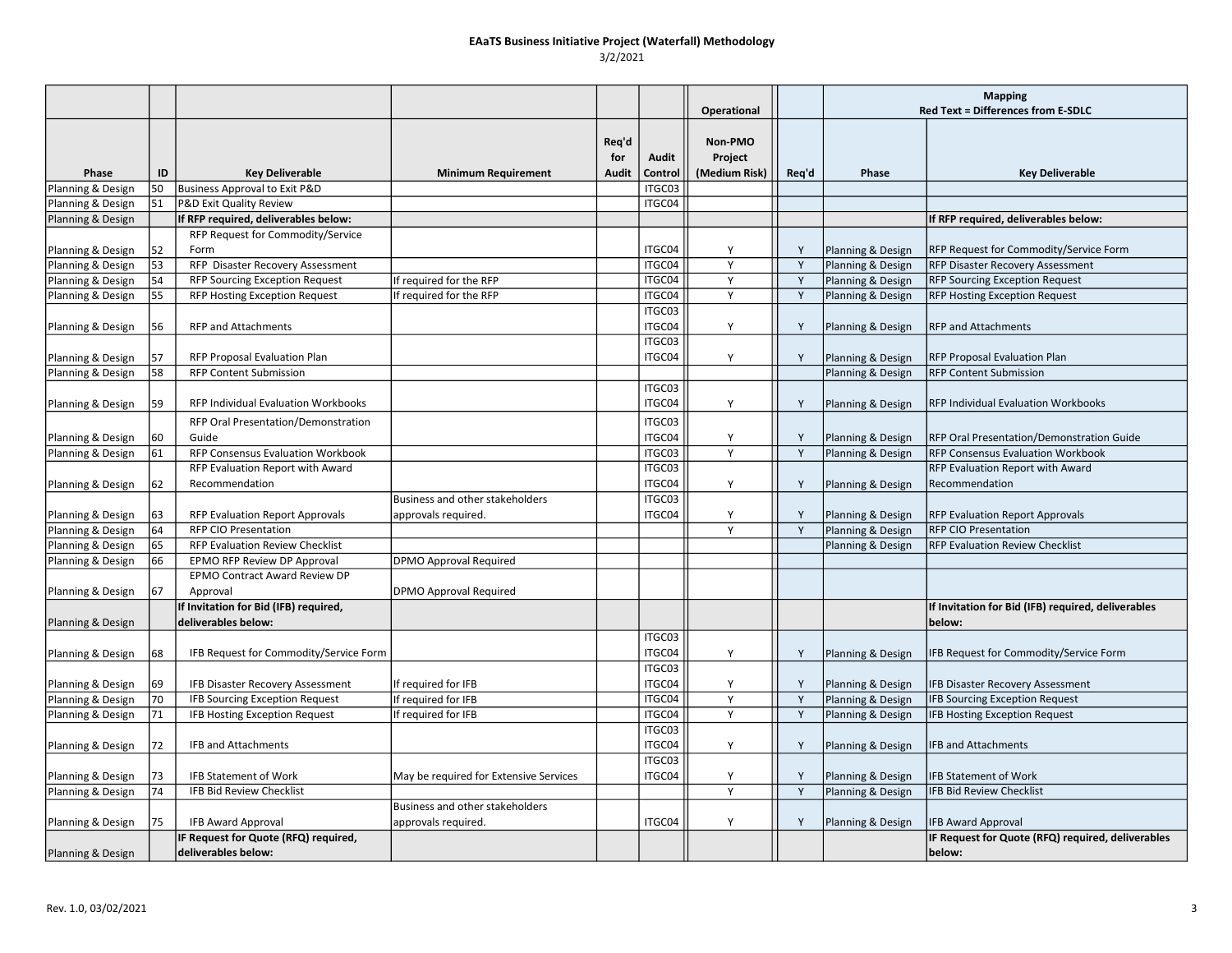|                                        |     |                                                                           |                                        |                              |                  |                                     |              | <b>Mapping</b>                         |                                                                                              |
|----------------------------------------|-----|---------------------------------------------------------------------------|----------------------------------------|------------------------------|------------------|-------------------------------------|--------------|----------------------------------------|----------------------------------------------------------------------------------------------|
|                                        |     |                                                                           |                                        |                              |                  | <b>Operational</b>                  |              |                                        | Red Text = Differences from E-SDLC                                                           |
| Phase                                  | ID  | <b>Key Deliverable</b>                                                    | <b>Minimum Requirement</b>             | Req'd<br>for<br><b>Audit</b> | Audit<br>Control | Non-PMO<br>Project<br>(Medium Risk) | Req'd        | Phase                                  | <b>Key Deliverable</b>                                                                       |
| Planning & Design                      | 50  | Business Approval to Exit P&D                                             |                                        |                              | ITGC03           |                                     |              |                                        |                                                                                              |
| Planning & Design                      | 51  | P&D Exit Quality Review                                                   |                                        |                              | ITGC04           |                                     |              |                                        |                                                                                              |
| Planning & Design                      |     | If RFP required, deliverables below:                                      |                                        |                              |                  |                                     |              |                                        | If RFP required, deliverables below:                                                         |
|                                        |     | RFP Request for Commodity/Service                                         |                                        |                              |                  |                                     |              |                                        |                                                                                              |
| Planning & Design                      | 52  | Form                                                                      |                                        |                              | ITGC04           | Y                                   | Y            | Planning & Design                      | RFP Request for Commodity/Service Form                                                       |
| Planning & Design                      | 53  | RFP Disaster Recovery Assessment                                          |                                        |                              | ITGC04           | Y                                   | Y            | Planning & Design                      | <b>RFP Disaster Recovery Assessment</b>                                                      |
| Planning & Design                      | 54  | <b>RFP Sourcing Exception Request</b>                                     | If required for the RFP                |                              | ITGC04           | Y                                   | Y            | Planning & Design                      | <b>RFP Sourcing Exception Request</b>                                                        |
| Planning & Design                      | 55  | <b>RFP Hosting Exception Request</b>                                      | If required for the RFP                |                              | ITGC04           | Y                                   | Y            | Planning & Design                      | <b>RFP Hosting Exception Request</b>                                                         |
|                                        |     |                                                                           |                                        |                              | ITGC03           |                                     |              |                                        |                                                                                              |
| Planning & Design                      | 56  | <b>RFP and Attachments</b>                                                |                                        |                              | ITGC04           | Y                                   | Y            | Planning & Design                      | <b>RFP and Attachments</b>                                                                   |
|                                        |     |                                                                           |                                        |                              | ITGC03           |                                     |              |                                        |                                                                                              |
| Planning & Design                      | 57  | RFP Proposal Evaluation Plan                                              |                                        |                              | ITGC04           | Y                                   | Y            | Planning & Design                      | <b>RFP Proposal Evaluation Plan</b>                                                          |
| Planning & Design                      | 58  | <b>RFP Content Submission</b>                                             |                                        |                              |                  |                                     |              | Planning & Design                      | <b>RFP Content Submission</b>                                                                |
|                                        |     |                                                                           |                                        |                              | ITGC03           |                                     |              |                                        |                                                                                              |
| Planning & Design                      | 59  | RFP Individual Evaluation Workbooks                                       |                                        |                              | ITGC04           | Y                                   | Y            | Planning & Design                      | RFP Individual Evaluation Workbooks                                                          |
|                                        |     | RFP Oral Presentation/Demonstration                                       |                                        |                              | ITGC03           |                                     |              |                                        |                                                                                              |
|                                        |     | Guide                                                                     |                                        |                              | ITGC04           | Y                                   | Y            |                                        |                                                                                              |
| Planning & Design                      | 60  | RFP Consensus Evaluation Workbook                                         |                                        |                              | ITGC03           | Y                                   | Y            | Planning & Design                      | <b>RFP Oral Presentation/Demonstration Guide</b><br><b>RFP Consensus Evaluation Workbook</b> |
| Planning & Design                      | 61  |                                                                           |                                        |                              |                  |                                     |              | Planning & Design                      |                                                                                              |
|                                        |     | RFP Evaluation Report with Award                                          |                                        |                              | ITGC03           | Y                                   |              |                                        | RFP Evaluation Report with Award                                                             |
| Planning & Design                      | 62  | Recommendation                                                            |                                        |                              | ITGC04           |                                     | Y            | Planning & Design                      | Recommendation                                                                               |
|                                        |     |                                                                           | Business and other stakeholders        |                              | ITGC03           |                                     |              |                                        |                                                                                              |
| Planning & Design                      | 63  | <b>RFP Evaluation Report Approvals</b><br>RFP CIO Presentation            | approvals required.                    |                              | ITGC04           | Y<br>Y                              | Y<br>Y       | Planning & Design                      | <b>RFP Evaluation Report Approvals</b><br><b>RFP CIO Presentation</b>                        |
| Planning & Design                      | 64  | RFP Evaluation Review Checklist                                           |                                        |                              |                  |                                     |              | Planning & Design                      | <b>RFP Evaluation Review Checklist</b>                                                       |
| Planning & Design                      | 65  |                                                                           | <b>DPMO Approval Required</b>          |                              |                  |                                     |              | Planning & Design                      |                                                                                              |
| Planning & Design                      | 66  | EPMO RFP Review DP Approval<br><b>EPMO Contract Award Review DP</b>       |                                        |                              |                  |                                     |              |                                        |                                                                                              |
|                                        |     | Approval                                                                  |                                        |                              |                  |                                     |              |                                        |                                                                                              |
| Planning & Design                      | 67  |                                                                           | <b>DPMO Approval Required</b>          |                              |                  |                                     |              |                                        |                                                                                              |
|                                        |     | If Invitation for Bid (IFB) required,<br>deliverables below:              |                                        |                              |                  |                                     |              |                                        | If Invitation for Bid (IFB) required, deliverables<br>below:                                 |
| Planning & Design                      |     |                                                                           |                                        |                              | ITGC03           |                                     |              |                                        |                                                                                              |
|                                        | 68  | IFB Request for Commodity/Service Form                                    |                                        |                              | ITGC04           | Y                                   | Y            |                                        | IFB Request for Commodity/Service Form                                                       |
| Planning & Design                      |     |                                                                           |                                        |                              | ITGC03           |                                     |              | Planning & Design                      |                                                                                              |
|                                        | 69  |                                                                           | If required for IFB                    |                              | ITGC04           | Y                                   | Y            |                                        |                                                                                              |
| Planning & Design<br>Planning & Design | 70  | IFB Disaster Recovery Assessment<br><b>IFB Sourcing Exception Request</b> | If required for IFB                    |                              | ITGC04           | Y                                   | Y            | Planning & Design<br>Planning & Design | <b>IFB Disaster Recovery Assessment</b><br><b>IFB Sourcing Exception Request</b>             |
|                                        | 71  |                                                                           |                                        |                              | ITGC04           | Y                                   | Y            |                                        | <b>IFB Hosting Exception Request</b>                                                         |
| Planning & Design                      |     | <b>IFB Hosting Exception Request</b>                                      | If required for IFB                    |                              | ITGC03           |                                     |              | Planning & Design                      |                                                                                              |
| Planning & Design                      | 172 | <b>IFB and Attachments</b>                                                |                                        |                              | ITGC04           | Y                                   | Y            | Planning & Design                      | <b>IFB and Attachments</b>                                                                   |
|                                        |     |                                                                           |                                        |                              | ITGC03           |                                     |              |                                        |                                                                                              |
|                                        | 73  | <b>IFB Statement of Work</b>                                              |                                        |                              | ITGC04           | Y                                   | Y            |                                        | <b>IFB Statement of Work</b>                                                                 |
| Planning & Design<br>Planning & Design | 74  | <b>IFB Bid Review Checklist</b>                                           | May be required for Extensive Services |                              |                  | Y                                   | $\mathsf{Y}$ | Planning & Design<br>Planning & Design | <b>IFB Bid Review Checklist</b>                                                              |
|                                        |     |                                                                           | Business and other stakeholders        |                              |                  |                                     |              |                                        |                                                                                              |
| Planning & Design                      | 75  | <b>IFB Award Approval</b>                                                 | approvals required.                    |                              | ITGC04           | Y                                   | Y            | Planning & Design                      | <b>IFB Award Approval</b>                                                                    |
|                                        |     | IF Request for Quote (RFQ) required,                                      |                                        |                              |                  |                                     |              |                                        | IF Request for Quote (RFQ) required, deliverables                                            |
| Planning & Design                      |     | deliverables below:                                                       |                                        |                              |                  |                                     |              |                                        | below:                                                                                       |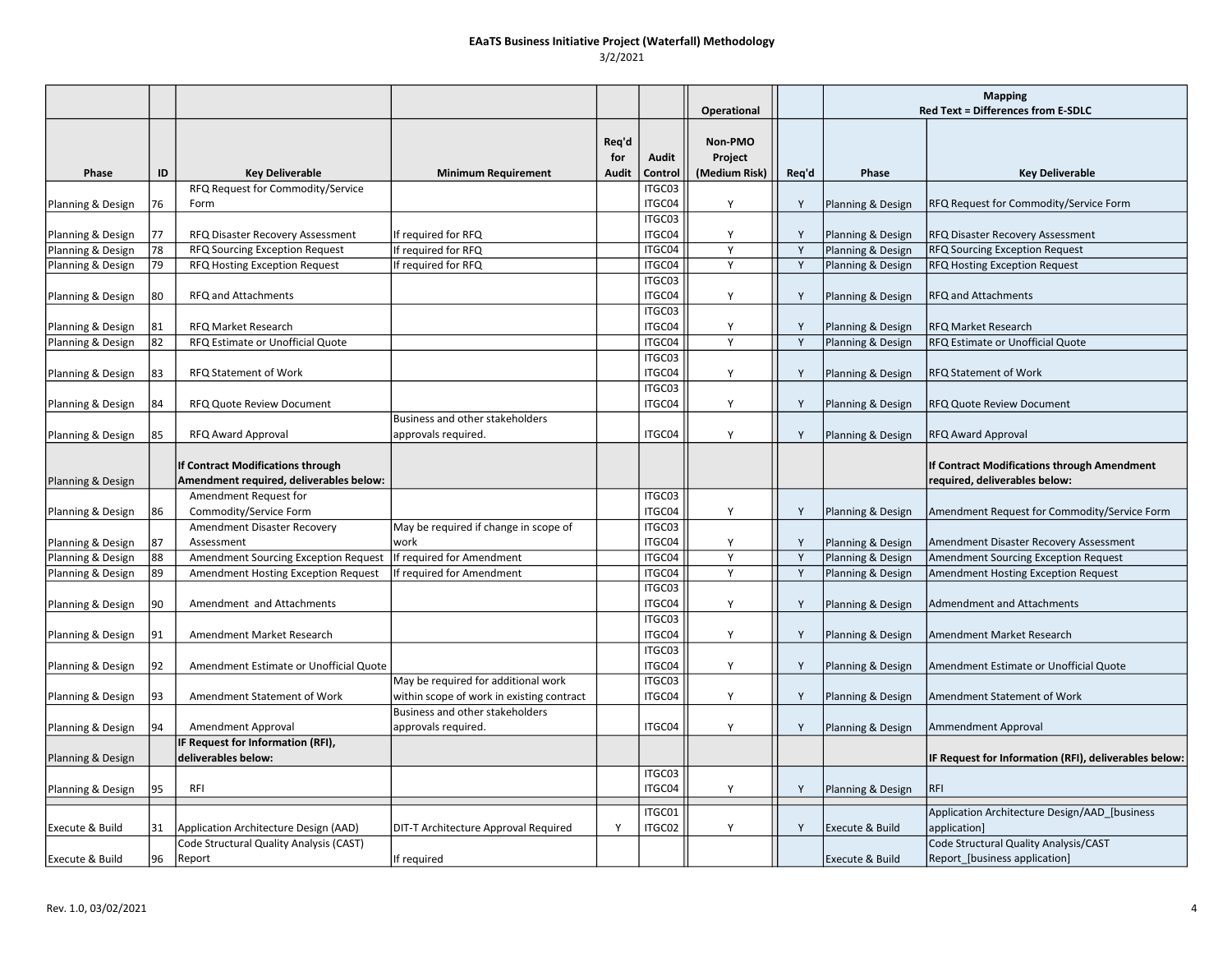|                   |     |                                                                              |                                                                                  |                       |                  | Operational                         |       | <b>Mapping</b><br>Red Text = Differences from E-SDLC |                                                                              |
|-------------------|-----|------------------------------------------------------------------------------|----------------------------------------------------------------------------------|-----------------------|------------------|-------------------------------------|-------|------------------------------------------------------|------------------------------------------------------------------------------|
| Phase             | ID  | <b>Key Deliverable</b>                                                       | <b>Minimum Requirement</b>                                                       | Req'd<br>for<br>Audit | Audit<br>Control | Non-PMO<br>Project<br>(Medium Risk) | Req'd | Phase                                                | <b>Key Deliverable</b>                                                       |
|                   |     | RFQ Request for Commodity/Service                                            |                                                                                  |                       | ITGC03           |                                     |       |                                                      |                                                                              |
| Planning & Design | 76  | Form                                                                         |                                                                                  |                       | ITGC04           | Y                                   | Y     | Planning & Design                                    | RFQ Request for Commodity/Service Form                                       |
| Planning & Design | 177 | RFQ Disaster Recovery Assessment                                             | If required for RFQ                                                              |                       | ITGC03<br>ITGC04 | Y                                   | Y     | Planning & Design                                    | RFQ Disaster Recovery Assessment                                             |
| Planning & Design | 78  | RFQ Sourcing Exception Request                                               | If required for RFQ                                                              |                       | ITGC04           | Y                                   | Y     | Planning & Design                                    | <b>RFQ Sourcing Exception Request</b>                                        |
| Planning & Design | 79  | RFQ Hosting Exception Request                                                | If required for RFQ                                                              |                       | ITGC04           | Y                                   | Y     | Planning & Design                                    | <b>RFQ Hosting Exception Request</b>                                         |
| Planning & Design | 80  | RFQ and Attachments                                                          |                                                                                  |                       | ITGC03<br>ITGC04 | Y                                   | Y     | Planning & Design                                    | <b>RFQ and Attachments</b>                                                   |
| Planning & Design | 81  | RFQ Market Research                                                          |                                                                                  |                       | ITGC03<br>ITGC04 | Y                                   | Y     | Planning & Design                                    | <b>RFQ Market Research</b>                                                   |
| Planning & Design | 82  | RFQ Estimate or Unofficial Quote                                             |                                                                                  |                       | ITGC04           | Y                                   | Y     | Planning & Design                                    | RFQ Estimate or Unofficial Quote                                             |
| Planning & Design | 83  | RFQ Statement of Work                                                        |                                                                                  |                       | ITGC03<br>ITGC04 | Y                                   | Y     | Planning & Design                                    | <b>RFQ Statement of Work</b>                                                 |
| Planning & Design | 84  | RFQ Quote Review Document                                                    |                                                                                  |                       | ITGC03<br>ITGC04 | Y                                   | Y     | Planning & Design                                    | <b>RFQ Quote Review Document</b>                                             |
| Planning & Design | 85  | RFQ Award Approval                                                           | Business and other stakeholders<br>approvals required.                           |                       | ITGC04           | Y                                   | Y     | Planning & Design                                    | RFQ Award Approval                                                           |
| Planning & Design |     | If Contract Modifications through<br>Amendment required, deliverables below: |                                                                                  |                       |                  |                                     |       |                                                      | If Contract Modifications through Amendment<br>required, deliverables below: |
|                   |     | Amendment Request for                                                        |                                                                                  |                       | ITGC03           |                                     |       |                                                      |                                                                              |
| Planning & Design | 86  | Commodity/Service Form                                                       |                                                                                  |                       | ITGC04           | Y                                   | Y     | Planning & Design                                    | Amendment Request for Commodity/Service Form                                 |
|                   |     | Amendment Disaster Recovery                                                  | May be required if change in scope of                                            |                       | ITGC03           |                                     |       |                                                      |                                                                              |
| Planning & Design | 87  | Assessment                                                                   | work                                                                             |                       | ITGC04           | Y                                   | Y     | Planning & Design                                    | Amendment Disaster Recovery Assessment                                       |
| Planning & Design | 88  | Amendment Sourcing Exception Request                                         | If required for Amendment                                                        |                       | ITGC04           | Y                                   | Y     | Planning & Design                                    | Amendment Sourcing Exception Request                                         |
| Planning & Design | 89  | Amendment Hosting Exception Request                                          | If required for Amendment                                                        |                       | ITGC04           | Y                                   | Y     | Planning & Design                                    | Amendment Hosting Exception Request                                          |
| Planning & Design | 90  | Amendment and Attachments                                                    |                                                                                  |                       | ITGC03<br>ITGC04 | Y                                   | Y     | Planning & Design                                    | <b>Admendment and Attachments</b>                                            |
| Planning & Design | 91  | Amendment Market Research                                                    |                                                                                  |                       | ITGC03<br>ITGC04 | Y                                   | Y     | Planning & Design                                    | Amendment Market Research                                                    |
| Planning & Design | 92  | Amendment Estimate or Unofficial Quote                                       |                                                                                  |                       | ITGC03<br>ITGC04 | Y                                   | Y     | Planning & Design                                    | Amendment Estimate or Unofficial Quote                                       |
| Planning & Design | 93  | Amendment Statement of Work                                                  | May be required for additional work<br>within scope of work in existing contract |                       | ITGC03<br>ITGC04 | Y                                   | Y     | Planning & Design                                    | Amendment Statement of Work                                                  |
| Planning & Design | 94  | Amendment Approval                                                           | Business and other stakeholders<br>approvals required.                           |                       | ITGC04           | Y                                   | Y     | Planning & Design                                    | Ammendment Approval                                                          |
| Planning & Design |     | IF Request for Information (RFI),<br>deliverables below:                     |                                                                                  |                       |                  |                                     |       |                                                      | IF Request for Information (RFI), deliverables below:                        |
| Planning & Design | 95  | RFI                                                                          |                                                                                  |                       | ITGC03<br>ITGC04 | Y                                   | Y     | Planning & Design                                    | <b>RFI</b>                                                                   |
|                   |     |                                                                              |                                                                                  |                       | ITGC01           |                                     |       |                                                      | Application Architecture Design/AAD_[business                                |
| Execute & Build   | 31  | Application Architecture Design (AAD)                                        | DIT-T Architecture Approval Required                                             | Y                     | ITGC02           | Y                                   | Y     | Execute & Build                                      | application]                                                                 |
| Execute & Build   | 96  | Code Structural Quality Analysis (CAST)<br>Report                            | If required                                                                      |                       |                  |                                     |       | <b>Execute &amp; Build</b>                           | Code Structural Quality Analysis/CAST<br>Report [business application]       |